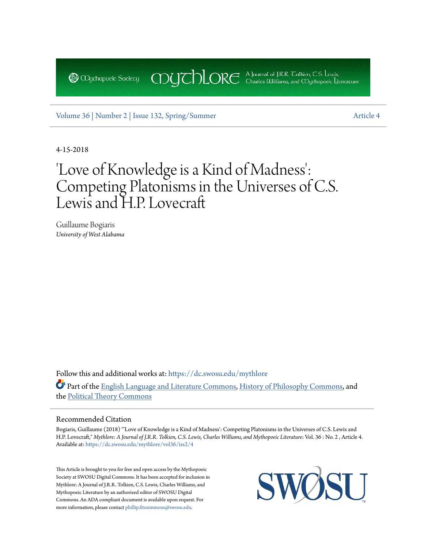[Volume 36 |](https://dc.swosu.edu/mythlore/vol36?utm_source=dc.swosu.edu%2Fmythlore%2Fvol36%2Fiss2%2F4&utm_medium=PDF&utm_campaign=PDFCoverPages) [Number 2 | Issue 132, Spring/Summer](https://dc.swosu.edu/mythlore/vol36/iss2?utm_source=dc.swosu.edu%2Fmythlore%2Fvol36%2Fiss2%2F4&utm_medium=PDF&utm_campaign=PDFCoverPages) [Article 4](https://dc.swosu.edu/mythlore/vol36/iss2/4?utm_source=dc.swosu.edu%2Fmythlore%2Fvol36%2Fiss2%2F4&utm_medium=PDF&utm_campaign=PDFCoverPages)

**@** Obychopoeic Sociecy

4-15-2018

# 'Love of Knowledge is a Kind of Madness': Competing Platonisms in the Universes of C.S. Lewis and H.P. Lovecraft

COUCHORE A Journal of J.R.R. Colkien, C.S. Lewis,

Guillaume Bogiaris *University of West Alabama*

Follow this and additional works at: [https://dc.swosu.edu/mythlore](https://dc.swosu.edu/mythlore?utm_source=dc.swosu.edu%2Fmythlore%2Fvol36%2Fiss2%2F4&utm_medium=PDF&utm_campaign=PDFCoverPages) Part of the [English Language and Literature Commons](http://network.bepress.com/hgg/discipline/455?utm_source=dc.swosu.edu%2Fmythlore%2Fvol36%2Fiss2%2F4&utm_medium=PDF&utm_campaign=PDFCoverPages), [History of Philosophy Commons,](http://network.bepress.com/hgg/discipline/531?utm_source=dc.swosu.edu%2Fmythlore%2Fvol36%2Fiss2%2F4&utm_medium=PDF&utm_campaign=PDFCoverPages) and the [Political Theory Commons](http://network.bepress.com/hgg/discipline/391?utm_source=dc.swosu.edu%2Fmythlore%2Fvol36%2Fiss2%2F4&utm_medium=PDF&utm_campaign=PDFCoverPages)

## Recommended Citation

Bogiaris, Guillaume (2018) "'Love of Knowledge is a Kind of Madness': Competing Platonisms in the Universes of C.S. Lewis and H.P. Lovecraft," *Mythlore: A Journal of J.R.R. Tolkien, C.S. Lewis, Charles Williams, and Mythopoeic Literature*: Vol. 36 : No. 2 , Article 4. Available at: [https://dc.swosu.edu/mythlore/vol36/iss2/4](https://dc.swosu.edu/mythlore/vol36/iss2/4?utm_source=dc.swosu.edu%2Fmythlore%2Fvol36%2Fiss2%2F4&utm_medium=PDF&utm_campaign=PDFCoverPages)

This Article is brought to you for free and open access by the Mythopoeic Society at SWOSU Digital Commons. It has been accepted for inclusion in Mythlore: A Journal of J.R.R. Tolkien, C.S. Lewis, Charles Williams, and Mythopoeic Literature by an authorized editor of SWOSU Digital Commons. An ADA compliant document is available upon request. For more information, please contact [phillip.fitzsimmons@swosu.edu](mailto:phillip.fitzsimmons@swosu.edu).

SWØ **STT**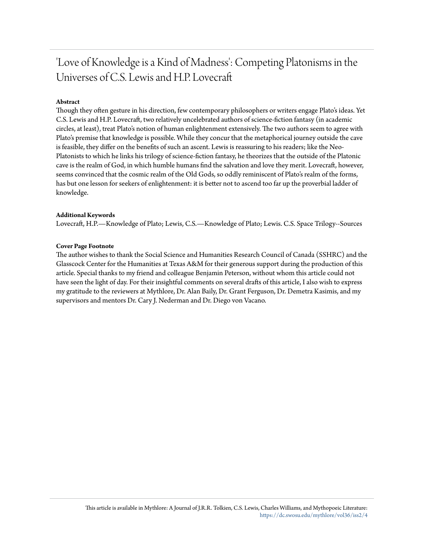## 'Love of Knowledge is a Kind of Madness': Competing Platonisms in the Universes of C.S. Lewis and H.P. Lovecraft

## **Abstract**

Though they often gesture in his direction, few contemporary philosophers or writers engage Plato's ideas. Yet C.S. Lewis and H.P. Lovecraft, two relatively uncelebrated authors of science-fiction fantasy (in academic circles, at least), treat Plato's notion of human enlightenment extensively. The two authors seem to agree with Plato's premise that knowledge is possible. While they concur that the metaphorical journey outside the cave is feasible, they differ on the benefits of such an ascent. Lewis is reassuring to his readers; like the Neo-Platonists to which he links his trilogy of science-fiction fantasy, he theorizes that the outside of the Platonic cave is the realm of God, in which humble humans find the salvation and love they merit. Lovecraft, however, seems convinced that the cosmic realm of the Old Gods, so oddly reminiscent of Plato's realm of the forms, has but one lesson for seekers of enlightenment: it is better not to ascend too far up the proverbial ladder of knowledge.

## **Additional Keywords**

Lovecraft, H.P.—Knowledge of Plato; Lewis, C.S.—Knowledge of Plato; Lewis. C.S. Space Trilogy--Sources

## **Cover Page Footnote**

The author wishes to thank the Social Science and Humanities Research Council of Canada (SSHRC) and the Glasscock Center for the Humanities at Texas A&M for their generous support during the production of this article. Special thanks to my friend and colleague Benjamin Peterson, without whom this article could not have seen the light of day. For their insightful comments on several drafts of this article, I also wish to express my gratitude to the reviewers at Mythlore, Dr. Alan Baily, Dr. Grant Ferguson, Dr. Demetra Kasimis, and my supervisors and mentors Dr. Cary J. Nederman and Dr. Diego von Vacano.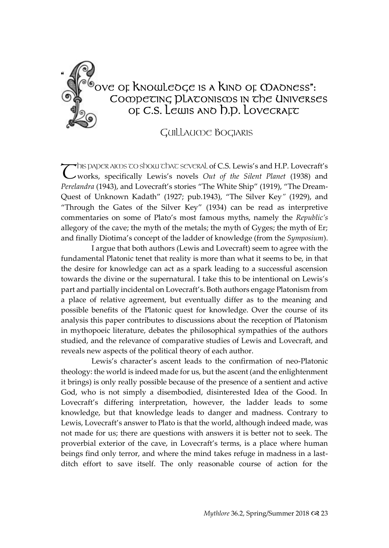

## $\mathbb{C}^{\mathbb{C}^{\infty}}$ ove of Knowledge is a Kind of Madness":  $\mathcal{O}$   $\ddot{\phi}$  Competing platonisms in the Universes  $\P_{\odot}$  of C.S. Lewis and D.D. Lovecraft

## GUILLAUME BOGIARIS

HIS PAPER AIMS TO SHOW THAT SEVERAL of C.S. Lewis's and H.P. Lovecraft's **T** DIS DADER AIODS TO SDOW TO AT SEVERAL of C.S. Lewis's and H.P. Lovecraft's  $\mathbf C$  works, specifically Lewis's novels *Out of the Silent Planet* (1938) and *Perelandra* (1943), and Lovecraft's stories "The White Ship" (1919), "The Dream-Quest of Unknown Kadath" (1927; pub.1943), "The Silver Key*"* (1929), and "Through the Gates of the Silver Key" (1934) can be read as interpretive commentaries on some of Plato's most famous myths, namely the *Republic's* allegory of the cave; the myth of the metals; the myth of Gyges; the myth of Er; and finally Diotima's concept of the ladder of knowledge (from the *Symposium*).

I argue that both authors (Lewis and Lovecraft) seem to agree with the fundamental Platonic tenet that reality is more than what it seems to be, in that the desire for knowledge can act as a spark leading to a successful ascension towards the divine or the supernatural. I take this to be intentional on Lewis's part and partially incidental on Lovecraft's. Both authors engage Platonism from a place of relative agreement, but eventually differ as to the meaning and possible benefits of the Platonic quest for knowledge. Over the course of its analysis this paper contributes to discussions about the reception of Platonism in mythopoeic literature, debates the philosophical sympathies of the authors studied, and the relevance of comparative studies of Lewis and Lovecraft, and reveals new aspects of the political theory of each author.

Lewis's character's ascent leads to the confirmation of neo-Platonic theology: the world is indeed made for us, but the ascent (and the enlightenment it brings) is only really possible because of the presence of a sentient and active God, who is not simply a disembodied, disinterested Idea of the Good. In Lovecraft's differing interpretation, however, the ladder leads to some knowledge, but that knowledge leads to danger and madness. Contrary to Lewis, Lovecraft's answer to Plato is that the world, although indeed made, was not made for us; there are questions with answers it is better not to seek. The proverbial exterior of the cave, in Lovecraft's terms, is a place where human beings find only terror, and where the mind takes refuge in madness in a lastditch effort to save itself. The only reasonable course of action for the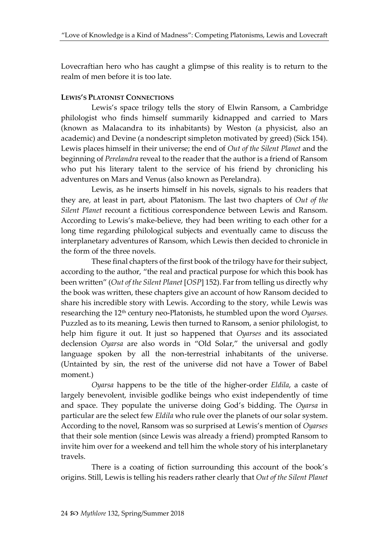Lovecraftian hero who has caught a glimpse of this reality is to return to the realm of men before it is too late.

## **LEWIS'S PLATONIST CONNECTIONS**

Lewis's space trilogy tells the story of Elwin Ransom, a Cambridge philologist who finds himself summarily kidnapped and carried to Mars (known as Malacandra to its inhabitants) by Weston (a physicist, also an academic) and Devine (a nondescript simpleton motivated by greed) (Sick 154). Lewis places himself in their universe; the end of *Out of the Silent Planet* and the beginning of *Perelandra* reveal to the reader that the author is a friend of Ransom who put his literary talent to the service of his friend by chronicling his adventures on Mars and Venus (also known as Perelandra).

Lewis, as he inserts himself in his novels, signals to his readers that they are, at least in part, about Platonism. The last two chapters of *Out of the Silent Planet* recount a fictitious correspondence between Lewis and Ransom. According to Lewis's make-believe, they had been writing to each other for a long time regarding philological subjects and eventually came to discuss the interplanetary adventures of Ransom, which Lewis then decided to chronicle in the form of the three novels.

These final chapters of the first book of the trilogy have for their subject, according to the author, "the real and practical purpose for which this book has been written" (*Out of the Silent Planet* [*OSP*] 152). Far from telling us directly why the book was written, these chapters give an account of how Ransom decided to share his incredible story with Lewis. According to the story, while Lewis was researching the 12<sup>th</sup> century neo-Platonists, he stumbled upon the word *Oyarses*. Puzzled as to its meaning, Lewis then turned to Ransom, a senior philologist, to help him figure it out. It just so happened that *Oyarses* and its associated declension *Oyarsa* are also words in "Old Solar," the universal and godly language spoken by all the non-terrestrial inhabitants of the universe. (Untainted by sin, the rest of the universe did not have a Tower of Babel moment.)

*Oyarsa* happens to be the title of the higher-order *Eldila*, a caste of largely benevolent, invisible godlike beings who exist independently of time and space. They populate the universe doing God's bidding. The *Oyarsa* in particular are the select few *Eldila* who rule over the planets of our solar system. According to the novel, Ransom was so surprised at Lewis's mention of *Oyarses* that their sole mention (since Lewis was already a friend) prompted Ransom to invite him over for a weekend and tell him the whole story of his interplanetary travels.

There is a coating of fiction surrounding this account of the book's origins. Still, Lewis is telling his readers rather clearly that *Out of the Silent Planet*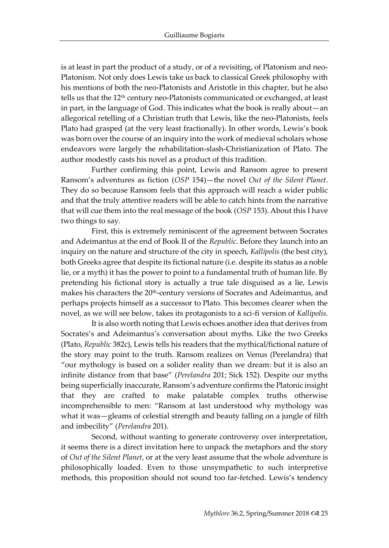is at least in part the product of a study, or of a revisiting, of Platonism and neo-Platonism. Not only does Lewis take us back to classical Greek philosophy with his mentions of both the neo-Platonists and Aristotle in this chapter, but he also tells us that the  $12<sup>th</sup>$  century neo-Platonists communicated or exchanged, at least in part, in the language of God. This indicates what the book is really about—an allegorical retelling of a Christian truth that Lewis, like the neo-Platonists, feels Plato had grasped (at the very least fractionally). In other words, Lewis's book was born over the course of an inquiry into the work of medieval scholars whose endeavors were largely the rehabilitation-slash-Christianization of Plato. The author modestly casts his novel as a product of this tradition.

Further confirming this point, Lewis and Ransom agree to present Ransom's adventures as fiction (*OSP* 154)—the novel *Out of the Silent Planet*. They do so because Ransom feels that this approach will reach a wider public and that the truly attentive readers will be able to catch hints from the narrative that will cue them into the real message of the book (*OSP* 153). About this I have two things to say.

First, this is extremely reminiscent of the agreement between Socrates and Adeimantus at the end of Book II of the *Republic*. Before they launch into an inquiry on the nature and structure of the city in speech, *Kallipolis* (the best city), both Greeks agree that despite its fictional nature (i.e. despite its status as a noble lie, or a myth) it has the power to point to a fundamental truth of human life. By pretending his fictional story is actually a true tale disguised as a lie, Lewis makes his characters the 20<sup>th</sup>-century versions of Socrates and Adeimantus, and perhaps projects himself as a successor to Plato. This becomes clearer when the novel, as we will see below, takes its protagonists to a sci-fi version of *Kallipolis*.

It is also worth noting that Lewis echoes another idea that derives from Socrates's and Adeimantus's conversation about myths. Like the two Greeks (Plato, *Republic* 382c), Lewis tells his readers that the mythical/fictional nature of the story may point to the truth. Ransom realizes on Venus (Perelandra) that "our mythology is based on a solider reality than we dream: but it is also an infinite distance from that base" (*Perelandra* 201; Sick 152). Despite our myths being superficially inaccurate, Ransom's adventure confirms the Platonic insight that they are crafted to make palatable complex truths otherwise incomprehensible to men: "Ransom at last understood why mythology was what it was—gleams of celestial strength and beauty falling on a jungle of filth and imbecility" (*Perelandra* 201).

Second, without wanting to generate controversy over interpretation, it seems there is a direct invitation here to unpack the metaphors and the story of *Out of the Silent Planet*, or at the very least assume that the whole adventure is philosophically loaded. Even to those unsympathetic to such interpretive methods, this proposition should not sound too far-fetched. Lewis's tendency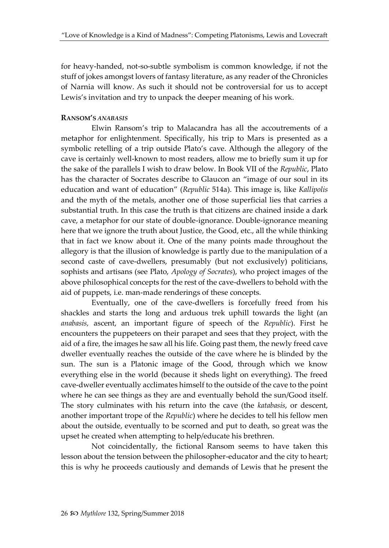for heavy-handed, not-so-subtle symbolism is common knowledge, if not the stuff of jokes amongst lovers of fantasy literature, as any reader of the Chronicles of Narnia will know. As such it should not be controversial for us to accept Lewis's invitation and try to unpack the deeper meaning of his work.

#### **RANSOM'S** *ANABASIS*

Elwin Ransom's trip to Malacandra has all the accoutrements of a metaphor for enlightenment. Specifically, his trip to Mars is presented as a symbolic retelling of a trip outside Plato's cave. Although the allegory of the cave is certainly well-known to most readers, allow me to briefly sum it up for the sake of the parallels I wish to draw below. In Book VII of the *Republic*, Plato has the character of Socrates describe to Glaucon an "image of our soul in its education and want of education" (*Republic* 514a). This image is, like *Kallipolis* and the myth of the metals, another one of those superficial lies that carries a substantial truth. In this case the truth is that citizens are chained inside a dark cave, a metaphor for our state of double-ignorance. Double-ignorance meaning here that we ignore the truth about Justice, the Good, etc., all the while thinking that in fact we know about it. One of the many points made throughout the allegory is that the illusion of knowledge is partly due to the manipulation of a second caste of cave-dwellers, presumably (but not exclusively) politicians, sophists and artisans (see Plato, *Apology of Socrates*), who project images of the above philosophical concepts for the rest of the cave-dwellers to behold with the aid of puppets, i.e. man-made renderings of these concepts.

Eventually, one of the cave-dwellers is forcefully freed from his shackles and starts the long and arduous trek uphill towards the light (an *anabasis,* ascent, an important figure of speech of the *Republic*). First he encounters the puppeteers on their parapet and sees that they project, with the aid of a fire, the images he saw all his life. Going past them, the newly freed cave dweller eventually reaches the outside of the cave where he is blinded by the sun. The sun is a Platonic image of the Good, through which we know everything else in the world (because it sheds light on everything). The freed cave-dweller eventually acclimates himself to the outside of the cave to the point where he can see things as they are and eventually behold the sun/Good itself. The story culminates with his return into the cave (the *katabasis*, or descent, another important trope of the *Republic*) where he decides to tell his fellow men about the outside, eventually to be scorned and put to death, so great was the upset he created when attempting to help/educate his brethren.

Not coincidentally, the fictional Ransom seems to have taken this lesson about the tension between the philosopher-educator and the city to heart; this is why he proceeds cautiously and demands of Lewis that he present the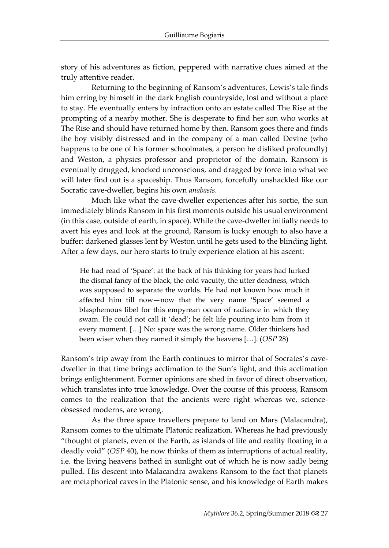story of his adventures as fiction, peppered with narrative clues aimed at the truly attentive reader.

Returning to the beginning of Ransom's adventures, Lewis's tale finds him erring by himself in the dark English countryside, lost and without a place to stay. He eventually enters by infraction onto an estate called The Rise at the prompting of a nearby mother. She is desperate to find her son who works at The Rise and should have returned home by then. Ransom goes there and finds the boy visibly distressed and in the company of a man called Devine (who happens to be one of his former schoolmates, a person he disliked profoundly) and Weston, a physics professor and proprietor of the domain. Ransom is eventually drugged, knocked unconscious, and dragged by force into what we will later find out is a spaceship. Thus Ransom, forcefully unshackled like our Socratic cave-dweller, begins his own *anabasis*.

Much like what the cave-dweller experiences after his sortie, the sun immediately blinds Ransom in his first moments outside his usual environment (in this case, outside of earth, in space). While the cave-dweller initially needs to avert his eyes and look at the ground, Ransom is lucky enough to also have a buffer: darkened glasses lent by Weston until he gets used to the blinding light. After a few days, our hero starts to truly experience elation at his ascent:

He had read of 'Space': at the back of his thinking for years had lurked the dismal fancy of the black, the cold vacuity, the utter deadness, which was supposed to separate the worlds. He had not known how much it affected him till now—now that the very name 'Space' seemed a blasphemous libel for this empyrean ocean of radiance in which they swam. He could not call it 'dead'; he felt life pouring into him from it every moment. […] No: space was the wrong name. Older thinkers had been wiser when they named it simply the heavens […]. (*OSP* 28)

Ransom's trip away from the Earth continues to mirror that of Socrates's cavedweller in that time brings acclimation to the Sun's light, and this acclimation brings enlightenment. Former opinions are shed in favor of direct observation, which translates into true knowledge. Over the course of this process, Ransom comes to the realization that the ancients were right whereas we, scienceobsessed moderns, are wrong.

As the three space travellers prepare to land on Mars (Malacandra), Ransom comes to the ultimate Platonic realization. Whereas he had previously "thought of planets, even of the Earth, as islands of life and reality floating in a deadly void" (*OSP* 40), he now thinks of them as interruptions of actual reality, i.e. the living heavens bathed in sunlight out of which he is now sadly being pulled. His descent into Malacandra awakens Ransom to the fact that planets are metaphorical caves in the Platonic sense, and his knowledge of Earth makes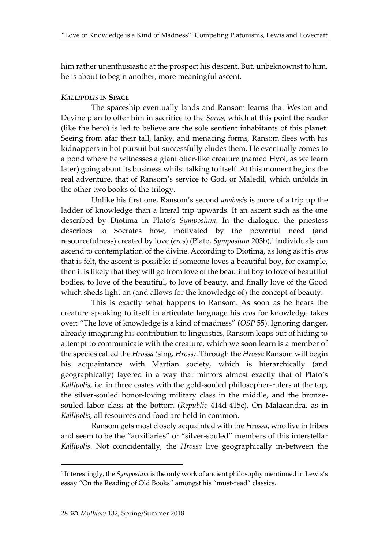him rather unenthusiastic at the prospect his descent. But, unbeknownst to him, he is about to begin another, more meaningful ascent.

## *KALLIPOLIS* **IN SPACE**

The spaceship eventually lands and Ransom learns that Weston and Devine plan to offer him in sacrifice to the *Sorns*, which at this point the reader (like the hero) is led to believe are the sole sentient inhabitants of this planet. Seeing from afar their tall, lanky, and menacing forms, Ransom flees with his kidnappers in hot pursuit but successfully eludes them. He eventually comes to a pond where he witnesses a giant otter-like creature (named Hyoi, as we learn later) going about its business whilst talking to itself. At this moment begins the real adventure, that of Ransom's service to God, or Maledil, which unfolds in the other two books of the trilogy.

Unlike his first one, Ransom's second *anabasis* is more of a trip up the ladder of knowledge than a literal trip upwards. It an ascent such as the one described by Diotima in Plato's *Symposium*. In the dialogue, the priestess describes to Socrates how, motivated by the powerful need (and resourcefulness) created by love (*eros*) (Plato*, Symposium* 203b),<sup>1</sup> individuals can ascend to contemplation of the divine. According to Diotima, as long as it is *eros* that is felt, the ascent is possible: if someone loves a beautiful boy, for example, then it is likely that they will go from love of the beautiful boy to love of beautiful bodies, to love of the beautiful, to love of beauty, and finally love of the Good which sheds light on (and allows for the knowledge of) the concept of beauty.

This is exactly what happens to Ransom. As soon as he hears the creature speaking to itself in articulate language his *eros* for knowledge takes over: "The love of knowledge is a kind of madness" (*OSP* 55). Ignoring danger, already imagining his contribution to linguistics, Ransom leaps out of hiding to attempt to communicate with the creature, which we soon learn is a member of the species called the *Hrossa (*sing*. Hross)*. Through the *Hrossa* Ransom will begin his acquaintance with Martian society, which is hierarchically (and geographically) layered in a way that mirrors almost exactly that of Plato's *Kallipolis*, i.e. in three castes with the gold-souled philosopher-rulers at the top, the silver-souled honor-loving military class in the middle, and the bronzesouled labor class at the bottom (*Republic* 414d-415c). On Malacandra, as in *Kallipolis*, all resources and food are held in common.

Ransom gets most closely acquainted with the *Hrossa*, who live in tribes and seem to be the "auxiliaries" or "silver-souled" members of this interstellar *Kallipolis*. Not coincidentally, the *Hrossa* live geographically in-between the

<sup>1</sup> Interestingly, the *Symposium* is the only work of ancient philosophy mentioned in Lewis's essay "On the Reading of Old Books" amongst his "must-read" classics.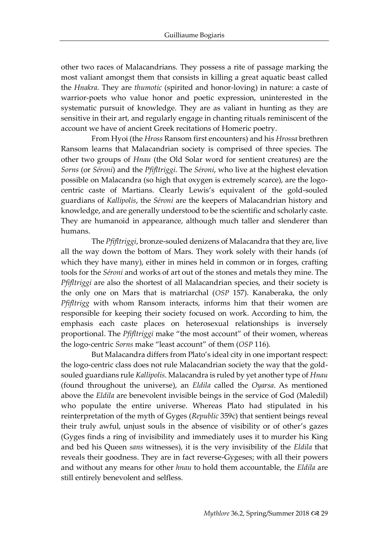other two races of Malacandrians. They possess a rite of passage marking the most valiant amongst them that consists in killing a great aquatic beast called the *Hnakra*. They are *thumotic* (spirited and honor-loving) in nature: a caste of warrior-poets who value honor and poetic expression, uninterested in the systematic pursuit of knowledge. They are as valiant in hunting as they are sensitive in their art, and regularly engage in chanting rituals reminiscent of the account we have of ancient Greek recitations of Homeric poetry.

From Hyoi (the *Hross* Ransom first encounters) and his *Hrossa* brethren Ransom learns that Malacandrian society is comprised of three species. The other two groups of *Hnau* (the Old Solar word for sentient creatures) are the *Sorns* (or *Séroni*) and the *Pfifltriggi*. The *Séroni*, who live at the highest elevation possible on Malacandra (so high that oxygen is extremely scarce), are the logocentric caste of Martians. Clearly Lewis's equivalent of the gold-souled guardians of *Kallipolis*, the *Séroni* are the keepers of Malacandrian history and knowledge, and are generally understood to be the scientific and scholarly caste. They are humanoid in appearance, although much taller and slenderer than humans.

The *Pfifltriggi*, bronze-souled denizens of Malacandra that they are, live all the way down the bottom of Mars. They work solely with their hands (of which they have many), either in mines held in common or in forges, crafting tools for the *Séroni* and works of art out of the stones and metals they mine. The *Pfifltriggi* are also the shortest of all Malacandrian species, and their society is the only one on Mars that is matriarchal (*OSP* 157). Kanaberaka, the only *Pfifltrigg* with whom Ransom interacts, informs him that their women are responsible for keeping their society focused on work. According to him, the emphasis each caste places on heterosexual relationships is inversely proportional. The *Pfifltriggi* make "the most account" of their women, whereas the logo-centric *Sorns* make "least account" of them (*OSP* 116).

But Malacandra differs from Plato's ideal city in one important respect: the logo-centric class does not rule Malacandrian society the way that the goldsouled guardians rule *Kallipolis*. Malacandra is ruled by yet another type of *Hnau* (found throughout the universe), an *Eldila* called the *Oyarsa*. As mentioned above the *Eldila* are benevolent invisible beings in the service of God (Maledil) who populate the entire universe. Whereas Plato had stipulated in his reinterpretation of the myth of Gyges (*Republic* 359c) that sentient beings reveal their truly awful, unjust souls in the absence of visibility or of other's gazes (Gyges finds a ring of invisibility and immediately uses it to murder his King and bed his Queen *sans* witnesses), it is the very invisibility of the *Eldila* that reveals their goodness. They are in fact reverse-Gygeses; with all their powers and without any means for other *hnau* to hold them accountable, the *Eldila* are still entirely benevolent and selfless.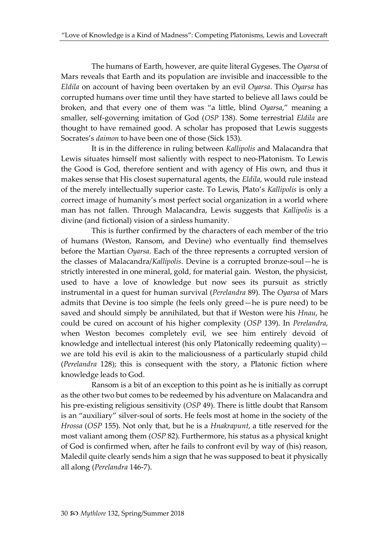The humans of Earth, however, are quite literal Gygeses. The *Oyarsa* of Mars reveals that Earth and its population are invisible and inaccessible to the *Eldila* on account of having been overtaken by an evil *Oyarsa*. This *Oyarsa* has corrupted humans over time until they have started to believe all laws could be broken, and that every one of them was "a little, blind *Oyarsa*," meaning a smaller, self-governing imitation of God (*OSP* 138). Some terrestrial *Eldila* are thought to have remained good. A scholar has proposed that Lewis suggests Socrates's *daimon* to have been one of those (Sick 153).

It is in the difference in ruling between *Kallipolis* and Malacandra that Lewis situates himself most saliently with respect to neo-Platonism. To Lewis the Good is God, therefore sentient and with agency of His own, and thus it makes sense that His closest supernatural agents, the *Eldila*, would rule instead of the merely intellectually superior caste. To Lewis, Plato's *Kallipolis* is only a correct image of humanity's most perfect social organization in a world where man has not fallen. Through Malacandra, Lewis suggests that *Kallipolis* is a divine (and fictional) vision of a sinless humanity.

This is further confirmed by the characters of each member of the trio of humans (Weston, Ransom, and Devine) who eventually find themselves before the Martian *Oyarsa*. Each of the three represents a corrupted version of the classes of Malacandra/*Kallipolis*. Devine is a corrupted bronze-soul—he is strictly interested in one mineral, gold, for material gain. Weston, the physicist, used to have a love of knowledge but now sees its pursuit as strictly instrumental in a quest for human survival (*Perelandra* 89). The *Oyarsa* of Mars admits that Devine is too simple (he feels only greed—he is pure need) to be saved and should simply be annihilated, but that if Weston were his *Hnau*, he could be cured on account of his higher complexity (*OSP* 139). In *Perelandra*, when Weston becomes completely evil, we see him entirely devoid of knowledge and intellectual interest (his only Platonically redeeming quality)  $$ we are told his evil is akin to the maliciousness of a particularly stupid child (*Perelandra* 128); this is consequent with the story, a Platonic fiction where knowledge leads to God.

Ransom is a bit of an exception to this point as he is initially as corrupt as the other two but comes to be redeemed by his adventure on Malacandra and his pre-existing religious sensitivity (*OSP* 49). There is little doubt that Ransom is an "auxiliary" silver-soul of sorts. He feels most at home in the society of the *Hrossa* (*OSP* 155). Not only that, but he is a *Hnakrapunt*, a title reserved for the most valiant among them (*OSP* 82). Furthermore, his status as a physical knight of God is confirmed when, after he fails to confront evil by way of (his) reason, Maledil quite clearly sends him a sign that he was supposed to beat it physically all along (*Perelandra* 146-7).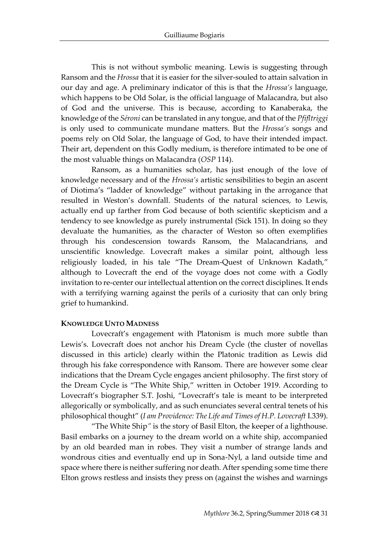This is not without symbolic meaning. Lewis is suggesting through Ransom and the *Hrossa* that it is easier for the silver-souled to attain salvation in our day and age. A preliminary indicator of this is that the *Hrossa's* language, which happens to be Old Solar, is the official language of Malacandra, but also of God and the universe. This is because, according to Kanaberaka, the knowledge of the *Séroni* can be translated in any tongue, and that of the *Pfifltriggi* is only used to communicate mundane matters. But the *Hrossa's* songs and poems rely on Old Solar, the language of God, to have their intended impact. Their art, dependent on this Godly medium, is therefore intimated to be one of the most valuable things on Malacandra (*OSP* 114).

Ransom, as a humanities scholar, has just enough of the love of knowledge necessary and of the *Hrossa's* artistic sensibilities to begin an ascent of Diotima's "ladder of knowledge" without partaking in the arrogance that resulted in Weston's downfall. Students of the natural sciences, to Lewis, actually end up farther from God because of both scientific skepticism and a tendency to see knowledge as purely instrumental (Sick 151). In doing so they devaluate the humanities, as the character of Weston so often exemplifies through his condescension towards Ransom, the Malacandrians, and unscientific knowledge. Lovecraft makes a similar point, although less religiously loaded, in his tale "The Dream-Quest of Unknown Kadath," although to Lovecraft the end of the voyage does not come with a Godly invitation to re-center our intellectual attention on the correct disciplines. It ends with a terrifying warning against the perils of a curiosity that can only bring grief to humankind.

#### **KNOWLEDGE UNTO MADNESS**

Lovecraft's engagement with Platonism is much more subtle than Lewis's. Lovecraft does not anchor his Dream Cycle (the cluster of novellas discussed in this article) clearly within the Platonic tradition as Lewis did through his fake correspondence with Ransom. There are however some clear indications that the Dream Cycle engages ancient philosophy. The first story of the Dream Cycle is "The White Ship," written in October 1919. According to Lovecraft's biographer S.T. Joshi, "Lovecraft's tale is meant to be interpreted allegorically or symbolically, and as such enunciates several central tenets of his philosophical thought" (*I am Providence: The Life and Times of H.P. Lovecraft* I.339).

"The White Ship*"* is the story of Basil Elton, the keeper of a lighthouse. Basil embarks on a journey to the dream world on a white ship, accompanied by an old bearded man in robes. They visit a number of strange lands and wondrous cities and eventually end up in Sona-Nyl, a land outside time and space where there is neither suffering nor death. After spending some time there Elton grows restless and insists they press on (against the wishes and warnings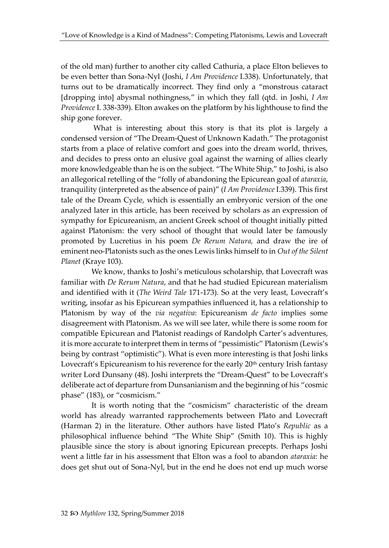of the old man) further to another city called Cathuria, a place Elton believes to be even better than Sona-Nyl (Joshi, *I Am Providence* I.338). Unfortunately, that turns out to be dramatically incorrect. They find only a "monstrous cataract [dropping into] abysmal nothingness," in which they fall (qtd. in Joshi, *I Am Providence* I. 338-339). Elton awakes on the platform by his lighthouse to find the ship gone forever.

What is interesting about this story is that its plot is largely a condensed version of "The Dream-Quest of Unknown Kadath." The protagonist starts from a place of relative comfort and goes into the dream world, thrives, and decides to press onto an elusive goal against the warning of allies clearly more knowledgeable than he is on the subject. "The White Ship," to Joshi, is also an allegorical retelling of the "folly of abandoning the Epicurean goal of *ataraxia*, tranquility (interpreted as the absence of pain)" (*I Am Providence* I.339). This first tale of the Dream Cycle, which is essentially an embryonic version of the one analyzed later in this article, has been received by scholars as an expression of sympathy for Epicureanism, an ancient Greek school of thought initially pitted against Platonism: the very school of thought that would later be famously promoted by Lucretius in his poem *De Rerum Natura,* and draw the ire of eminent neo-Platonists such as the ones Lewis links himself to in *Out of the Silent Planet* (Kraye 103).

We know, thanks to Joshi's meticulous scholarship, that Lovecraft was familiar with *De Rerum Natura*, and that he had studied Epicurean materialism and identified with it (*The Weird Tale* 171-173). So at the very least, Lovecraft's writing, insofar as his Epicurean sympathies influenced it, has a relationship to Platonism by way of the *via negativa*: Epicureanism *de facto* implies some disagreement with Platonism. As we will see later, while there is some room for compatible Epicurean and Platonist readings of Randolph Carter's adventures, it is more accurate to interpret them in terms of "pessimistic" Platonism (Lewis's being by contrast "optimistic"). What is even more interesting is that Joshi links Lovecraft's Epicureanism to his reverence for the early 20<sup>th</sup> century Irish fantasy writer Lord Dunsany (48). Joshi interprets the "Dream-Quest" to be Lovecraft's deliberate act of departure from Dunsanianism and the beginning of his "cosmic phase" (183), or "cosmicism."

It is worth noting that the "cosmicism" characteristic of the dream world has already warranted rapprochements between Plato and Lovecraft (Harman 2) in the literature. Other authors have listed Plato's *Republic* as a philosophical influence behind "The White Ship" (Smith 10). This is highly plausible since the story is about ignoring Epicurean precepts. Perhaps Joshi went a little far in his assessment that Elton was a fool to abandon *ataraxia*: he does get shut out of Sona-Nyl, but in the end he does not end up much worse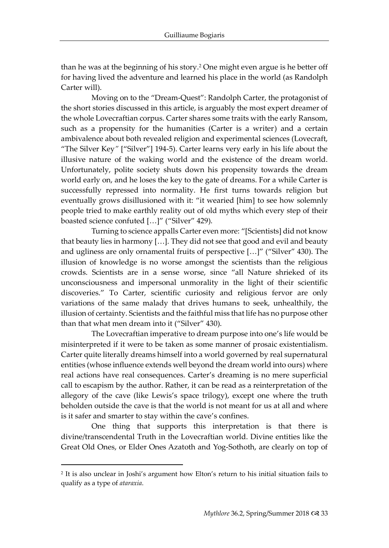than he was at the beginning of his story.<sup>2</sup> One might even argue is he better off for having lived the adventure and learned his place in the world (as Randolph Carter will).

Moving on to the "Dream-Quest": Randolph Carter, the protagonist of the short stories discussed in this article, is arguably the most expert dreamer of the whole Lovecraftian corpus. Carter shares some traits with the early Ransom, such as a propensity for the humanities (Carter is a writer) and a certain ambivalence about both revealed religion and experimental sciences (Lovecraft, "The Silver Key*"* ["Silver"] 194-5). Carter learns very early in his life about the illusive nature of the waking world and the existence of the dream world. Unfortunately, polite society shuts down his propensity towards the dream world early on, and he loses the key to the gate of dreams. For a while Carter is successfully repressed into normality. He first turns towards religion but eventually grows disillusioned with it: "it wearied [him] to see how solemnly people tried to make earthly reality out of old myths which every step of their boasted science confuted […]" ("Silver" 429).

Turning to science appalls Carter even more: "[Scientists] did not know that beauty lies in harmony […]. They did not see that good and evil and beauty and ugliness are only ornamental fruits of perspective […]" ("Silver" 430). The illusion of knowledge is no worse amongst the scientists than the religious crowds. Scientists are in a sense worse, since "all Nature shrieked of its unconsciousness and impersonal unmorality in the light of their scientific discoveries." To Carter, scientific curiosity and religious fervor are only variations of the same malady that drives humans to seek, unhealthily, the illusion of certainty. Scientists and the faithful miss that life has no purpose other than that what men dream into it ("Silver" 430).

The Lovecraftian imperative to dream purpose into one's life would be misinterpreted if it were to be taken as some manner of prosaic existentialism. Carter quite literally dreams himself into a world governed by real supernatural entities (whose influence extends well beyond the dream world into ours) where real actions have real consequences. Carter's dreaming is no mere superficial call to escapism by the author. Rather, it can be read as a reinterpretation of the allegory of the cave (like Lewis's space trilogy), except one where the truth beholden outside the cave is that the world is not meant for us at all and where is it safer and smarter to stay within the cave's confines.

One thing that supports this interpretation is that there is divine/transcendental Truth in the Lovecraftian world. Divine entities like the Great Old Ones, or Elder Ones Azatoth and Yog-Sothoth, are clearly on top of

<sup>2</sup> It is also unclear in Joshi's argument how Elton's return to his initial situation fails to qualify as a type of *ataraxia*.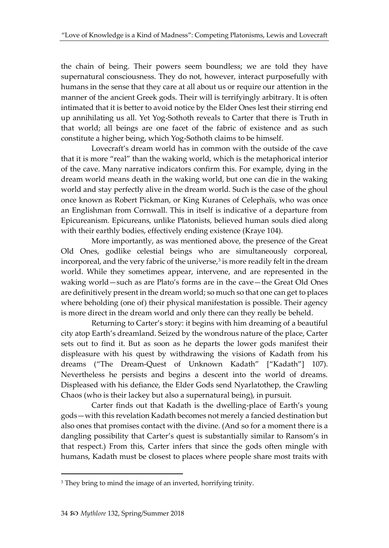the chain of being. Their powers seem boundless; we are told they have supernatural consciousness. They do not, however, interact purposefully with humans in the sense that they care at all about us or require our attention in the manner of the ancient Greek gods. Their will is terrifyingly arbitrary. It is often intimated that it is better to avoid notice by the Elder Ones lest their stirring end up annihilating us all. Yet Yog-Sothoth reveals to Carter that there is Truth in that world; all beings are one facet of the fabric of existence and as such constitute a higher being, which Yog-Sothoth claims to be himself.

Lovecraft's dream world has in common with the outside of the cave that it is more "real" than the waking world, which is the metaphorical interior of the cave. Many narrative indicators confirm this. For example, dying in the dream world means death in the waking world, but one can die in the waking world and stay perfectly alive in the dream world. Such is the case of the ghoul once known as Robert Pickman, or King Kuranes of Celephaïs, who was once an Englishman from Cornwall. This in itself is indicative of a departure from Epicureanism. Epicureans, unlike Platonists, believed human souls died along with their earthly bodies, effectively ending existence (Kraye 104).

More importantly, as was mentioned above, the presence of the Great Old Ones, godlike celestial beings who are simultaneously corporeal, incorporeal, and the very fabric of the universe, $^3$  is more readily felt in the dream world. While they sometimes appear, intervene, and are represented in the waking world—such as are Plato's forms are in the cave—the Great Old Ones are definitively present in the dream world; so much so that one can get to places where beholding (one of) their physical manifestation is possible. Their agency is more direct in the dream world and only there can they really be beheld.

Returning to Carter's story: it begins with him dreaming of a beautiful city atop Earth's dreamland. Seized by the wondrous nature of the place, Carter sets out to find it. But as soon as he departs the lower gods manifest their displeasure with his quest by withdrawing the visions of Kadath from his dreams ("The Dream-Quest of Unknown Kadath" ["Kadath"] 107). Nevertheless he persists and begins a descent into the world of dreams. Displeased with his defiance, the Elder Gods send Nyarlatothep, the Crawling Chaos (who is their lackey but also a supernatural being), in pursuit.

Carter finds out that Kadath is the dwelling-place of Earth's young gods—with this revelation Kadath becomes not merely a fancied destination but also ones that promises contact with the divine. (And so for a moment there is a dangling possibility that Carter's quest is substantially similar to Ransom's in that respect.) From this, Carter infers that since the gods often mingle with humans, Kadath must be closest to places where people share most traits with

<sup>&</sup>lt;sup>3</sup> They bring to mind the image of an inverted, horrifying trinity.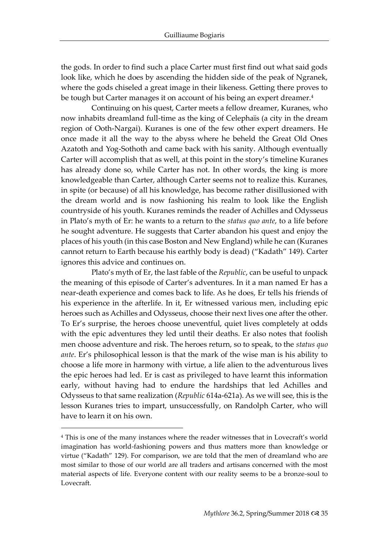the gods. In order to find such a place Carter must first find out what said gods look like, which he does by ascending the hidden side of the peak of Ngranek, where the gods chiseled a great image in their likeness. Getting there proves to be tough but Carter manages it on account of his being an expert dreamer.<sup>4</sup>

Continuing on his quest, Carter meets a fellow dreamer, Kuranes, who now inhabits dreamland full-time as the king of Celephaïs (a city in the dream region of Ooth-Nargai). Kuranes is one of the few other expert dreamers. He once made it all the way to the abyss where he beheld the Great Old Ones Azatoth and Yog-Sothoth and came back with his sanity. Although eventually Carter will accomplish that as well, at this point in the story's timeline Kuranes has already done so, while Carter has not. In other words, the king is more knowledgeable than Carter, although Carter seems not to realize this. Kuranes, in spite (or because) of all his knowledge, has become rather disillusioned with the dream world and is now fashioning his realm to look like the English countryside of his youth. Kuranes reminds the reader of Achilles and Odysseus in Plato's myth of Er: he wants to a return to the *status quo ante*, to a life before he sought adventure. He suggests that Carter abandon his quest and enjoy the places of his youth (in this case Boston and New England) while he can (Kuranes cannot return to Earth because his earthly body is dead) ("Kadath" 149). Carter ignores this advice and continues on.

Plato's myth of Er, the last fable of the *Republic*, can be useful to unpack the meaning of this episode of Carter's adventures. In it a man named Er has a near-death experience and comes back to life. As he does, Er tells his friends of his experience in the afterlife. In it, Er witnessed various men, including epic heroes such as Achilles and Odysseus, choose their next lives one after the other. To Er's surprise, the heroes choose uneventful, quiet lives completely at odds with the epic adventures they led until their deaths. Er also notes that foolish men choose adventure and risk. The heroes return, so to speak, to the *status quo ante*. Er's philosophical lesson is that the mark of the wise man is his ability to choose a life more in harmony with virtue, a life alien to the adventurous lives the epic heroes had led. Er is cast as privileged to have learnt this information early, without having had to endure the hardships that led Achilles and Odysseus to that same realization (*Republic* 614a-621a). As we will see, this is the lesson Kuranes tries to impart, unsuccessfully, on Randolph Carter, who will have to learn it on his own.

<sup>4</sup> This is one of the many instances where the reader witnesses that in Lovecraft's world imagination has world-fashioning powers and thus matters more than knowledge or virtue ("Kadath" 129). For comparison, we are told that the men of dreamland who are most similar to those of our world are all traders and artisans concerned with the most material aspects of life. Everyone content with our reality seems to be a bronze-soul to Lovecraft.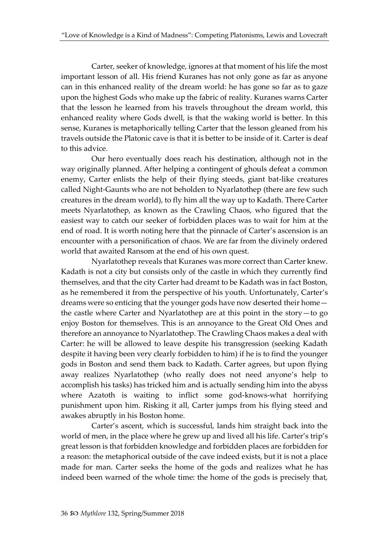Carter, seeker of knowledge, ignores at that moment of his life the most important lesson of all. His friend Kuranes has not only gone as far as anyone can in this enhanced reality of the dream world: he has gone so far as to gaze upon the highest Gods who make up the fabric of reality. Kuranes warns Carter that the lesson he learned from his travels throughout the dream world, this enhanced reality where Gods dwell, is that the waking world is better. In this sense, Kuranes is metaphorically telling Carter that the lesson gleaned from his travels outside the Platonic cave is that it is better to be inside of it. Carter is deaf to this advice.

Our hero eventually does reach his destination, although not in the way originally planned. After helping a contingent of ghouls defeat a common enemy, Carter enlists the help of their flying steeds, giant bat-like creatures called Night-Gaunts who are not beholden to Nyarlatothep (there are few such creatures in the dream world), to fly him all the way up to Kadath. There Carter meets Nyarlatothep, as known as the Crawling Chaos, who figured that the easiest way to catch our seeker of forbidden places was to wait for him at the end of road. It is worth noting here that the pinnacle of Carter's ascension is an encounter with a personification of chaos. We are far from the divinely ordered world that awaited Ransom at the end of his own quest.

Nyarlatothep reveals that Kuranes was more correct than Carter knew. Kadath is not a city but consists only of the castle in which they currently find themselves, and that the city Carter had dreamt to be Kadath was in fact Boston, as he remembered it from the perspective of his youth. Unfortunately, Carter's dreams were so enticing that the younger gods have now deserted their home the castle where Carter and Nyarlatothep are at this point in the story—to go enjoy Boston for themselves. This is an annoyance to the Great Old Ones and therefore an annoyance to Nyarlatothep. The Crawling Chaos makes a deal with Carter: he will be allowed to leave despite his transgression (seeking Kadath despite it having been very clearly forbidden to him) if he is to find the younger gods in Boston and send them back to Kadath. Carter agrees, but upon flying away realizes Nyarlatothep (who really does not need anyone's help to accomplish his tasks) has tricked him and is actually sending him into the abyss where Azatoth is waiting to inflict some god-knows-what horrifying punishment upon him. Risking it all, Carter jumps from his flying steed and awakes abruptly in his Boston home.

Carter's ascent, which is successful, lands him straight back into the world of men, in the place where he grew up and lived all his life. Carter's trip's great lesson is that forbidden knowledge and forbidden places are forbidden for a reason: the metaphorical outside of the cave indeed exists, but it is not a place made for man. Carter seeks the home of the gods and realizes what he has indeed been warned of the whole time: the home of the gods is precisely that,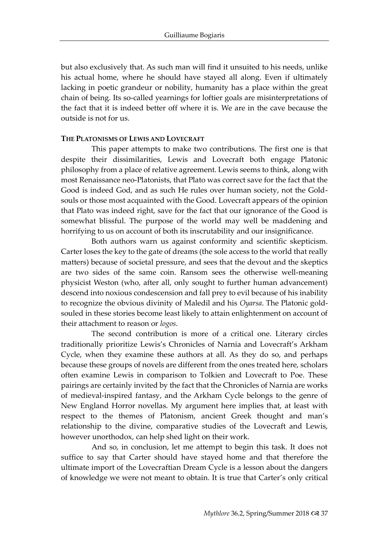but also exclusively that. As such man will find it unsuited to his needs, unlike his actual home, where he should have stayed all along. Even if ultimately lacking in poetic grandeur or nobility, humanity has a place within the great chain of being. Its so-called yearnings for loftier goals are misinterpretations of the fact that it is indeed better off where it is. We are in the cave because the outside is not for us.

#### **THE PLATONISMS OF LEWIS AND LOVECRAFT**

This paper attempts to make two contributions. The first one is that despite their dissimilarities, Lewis and Lovecraft both engage Platonic philosophy from a place of relative agreement. Lewis seems to think, along with most Renaissance neo-Platonists, that Plato was correct save for the fact that the Good is indeed God, and as such He rules over human society, not the Goldsouls or those most acquainted with the Good. Lovecraft appears of the opinion that Plato was indeed right, save for the fact that our ignorance of the Good is somewhat blissful. The purpose of the world may well be maddening and horrifying to us on account of both its inscrutability and our insignificance.

Both authors warn us against conformity and scientific skepticism. Carter loses the key to the gate of dreams (the sole access to the world that really matters) because of societal pressure, and sees that the devout and the skeptics are two sides of the same coin. Ransom sees the otherwise well-meaning physicist Weston (who, after all, only sought to further human advancement) descend into noxious condescension and fall prey to evil because of his inability to recognize the obvious divinity of Maledil and his *Oyarsa*. The Platonic goldsouled in these stories become least likely to attain enlightenment on account of their attachment to reason or *logos*.

The second contribution is more of a critical one. Literary circles traditionally prioritize Lewis's Chronicles of Narnia and Lovecraft's Arkham Cycle, when they examine these authors at all. As they do so, and perhaps because these groups of novels are different from the ones treated here, scholars often examine Lewis in comparison to Tolkien and Lovecraft to Poe. These pairings are certainly invited by the fact that the Chronicles of Narnia are works of medieval-inspired fantasy, and the Arkham Cycle belongs to the genre of New England Horror novellas. My argument here implies that, at least with respect to the themes of Platonism, ancient Greek thought and man's relationship to the divine, comparative studies of the Lovecraft and Lewis, however unorthodox, can help shed light on their work.

And so, in conclusion, let me attempt to begin this task. It does not suffice to say that Carter should have stayed home and that therefore the ultimate import of the Lovecraftian Dream Cycle is a lesson about the dangers of knowledge we were not meant to obtain. It is true that Carter's only critical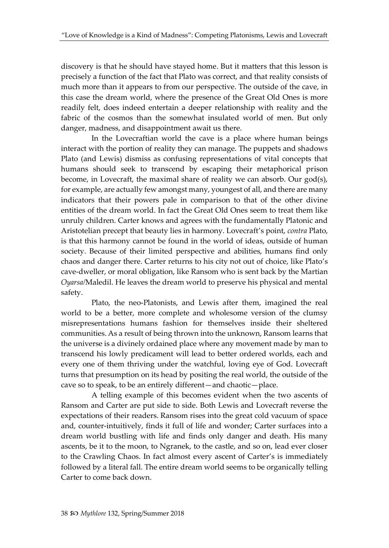discovery is that he should have stayed home. But it matters that this lesson is precisely a function of the fact that Plato was correct, and that reality consists of much more than it appears to from our perspective. The outside of the cave, in this case the dream world, where the presence of the Great Old Ones is more readily felt, does indeed entertain a deeper relationship with reality and the fabric of the cosmos than the somewhat insulated world of men. But only danger, madness, and disappointment await us there.

In the Lovecraftian world the cave is a place where human beings interact with the portion of reality they can manage. The puppets and shadows Plato (and Lewis) dismiss as confusing representations of vital concepts that humans should seek to transcend by escaping their metaphorical prison become, in Lovecraft, the maximal share of reality we can absorb. Our god(s), for example, are actually few amongst many, youngest of all, and there are many indicators that their powers pale in comparison to that of the other divine entities of the dream world. In fact the Great Old Ones seem to treat them like unruly children. Carter knows and agrees with the fundamentally Platonic and Aristotelian precept that beauty lies in harmony. Lovecraft's point, *contra* Plato, is that this harmony cannot be found in the world of ideas, outside of human society. Because of their limited perspective and abilities, humans find only chaos and danger there. Carter returns to his city not out of choice, like Plato's cave-dweller, or moral obligation, like Ransom who is sent back by the Martian *Oyarsa/*Maledil. He leaves the dream world to preserve his physical and mental safety.

Plato, the neo-Platonists, and Lewis after them, imagined the real world to be a better, more complete and wholesome version of the clumsy misrepresentations humans fashion for themselves inside their sheltered communities. As a result of being thrown into the unknown, Ransom learns that the universe is a divinely ordained place where any movement made by man to transcend his lowly predicament will lead to better ordered worlds, each and every one of them thriving under the watchful, loving eye of God. Lovecraft turns that presumption on its head by positing the real world, the outside of the cave so to speak, to be an entirely different—and chaotic—place.

A telling example of this becomes evident when the two ascents of Ransom and Carter are put side to side. Both Lewis and Lovecraft reverse the expectations of their readers. Ransom rises into the great cold vacuum of space and, counter-intuitively, finds it full of life and wonder; Carter surfaces into a dream world bustling with life and finds only danger and death. His many ascents, be it to the moon, to Ngranek, to the castle, and so on, lead ever closer to the Crawling Chaos. In fact almost every ascent of Carter's is immediately followed by a literal fall. The entire dream world seems to be organically telling Carter to come back down.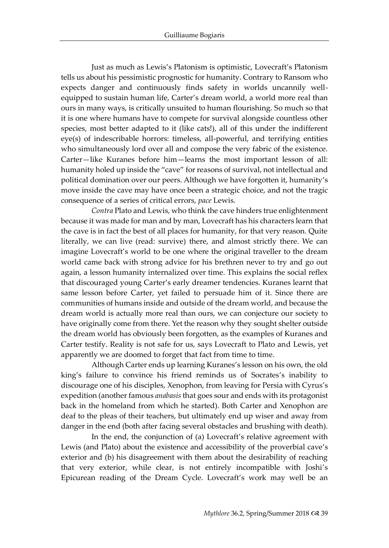Just as much as Lewis's Platonism is optimistic, Lovecraft's Platonism tells us about his pessimistic prognostic for humanity. Contrary to Ransom who expects danger and continuously finds safety in worlds uncannily wellequipped to sustain human life, Carter's dream world, a world more real than ours in many ways, is critically unsuited to human flourishing. So much so that it is one where humans have to compete for survival alongside countless other species, most better adapted to it (like cats!), all of this under the indifferent eye(s) of indescribable horrors: timeless, all-powerful, and terrifying entities who simultaneously lord over all and compose the very fabric of the existence. Carter—like Kuranes before him—learns the most important lesson of all: humanity holed up inside the "cave" for reasons of survival, not intellectual and political domination over our peers. Although we have forgotten it, humanity's move inside the cave may have once been a strategic choice, and not the tragic consequence of a series of critical errors, *pace* Lewis.

*Contra* Plato and Lewis, who think the cave hinders true enlightenment because it was made for man and by man, Lovecraft has his characters learn that the cave is in fact the best of all places for humanity, for that very reason. Quite literally, we can live (read: survive) there, and almost strictly there. We can imagine Lovecraft's world to be one where the original traveller to the dream world came back with strong advice for his brethren never to try and go out again, a lesson humanity internalized over time. This explains the social reflex that discouraged young Carter's early dreamer tendencies. Kuranes learnt that same lesson before Carter, yet failed to persuade him of it. Since there are communities of humans inside and outside of the dream world, and because the dream world is actually more real than ours, we can conjecture our society to have originally come from there. Yet the reason why they sought shelter outside the dream world has obviously been forgotten, as the examples of Kuranes and Carter testify. Reality is not safe for us, says Lovecraft to Plato and Lewis, yet apparently we are doomed to forget that fact from time to time.

Although Carter ends up learning Kuranes's lesson on his own, the old king's failure to convince his friend reminds us of Socrates's inability to discourage one of his disciples, Xenophon, from leaving for Persia with Cyrus's expedition (another famous *anabasis* that goes sour and ends with its protagonist back in the homeland from which he started). Both Carter and Xenophon are deaf to the pleas of their teachers, but ultimately end up wiser and away from danger in the end (both after facing several obstacles and brushing with death).

In the end, the conjunction of (a) Lovecraft's relative agreement with Lewis (and Plato) about the existence and accessibility of the proverbial cave's exterior and (b) his disagreement with them about the desirability of reaching that very exterior, while clear, is not entirely incompatible with Joshi's Epicurean reading of the Dream Cycle. Lovecraft's work may well be an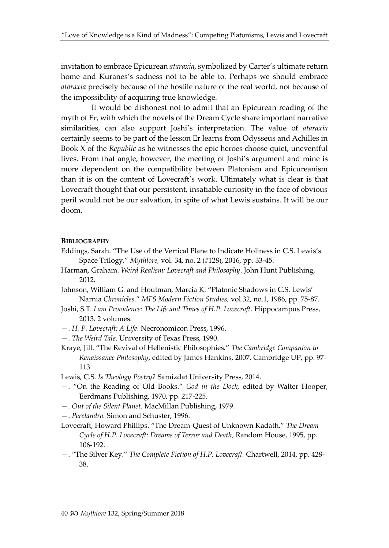invitation to embrace Epicurean *ataraxia*, symbolized by Carter's ultimate return home and Kuranes's sadness not to be able to. Perhaps we should embrace *ataraxia* precisely because of the hostile nature of the real world, not because of the impossibility of acquiring true knowledge.

It would be dishonest not to admit that an Epicurean reading of the myth of Er, with which the novels of the Dream Cycle share important narrative similarities, can also support Joshi's interpretation. The value of *ataraxia* certainly seems to be part of the lesson Er learns from Odysseus and Achilles in Book X of the *Republic* as he witnesses the epic heroes choose quiet, uneventful lives. From that angle, however, the meeting of Joshi's argument and mine is more dependent on the compatibility between Platonism and Epicureanism than it is on the content of Lovecraft's work. Ultimately what is clear is that Lovecraft thought that our persistent, insatiable curiosity in the face of obvious peril would not be our salvation, in spite of what Lewis sustains. It will be our doom.

#### **BIBLIOGRAPHY**

- Eddings, Sarah. "The Use of the Vertical Plane to Indicate Holiness in C.S. Lewis's Space Trilogy." *Mythlore,* vol. 34, no. 2 (#128), 2016, pp. 33-45.
- Harman, Graham. *Weird Realism: Lovecraft and Philosophy*. John Hunt Publishing, 2012.
- Johnson, William G. and Houtman, Marcia K. "Platonic Shadows in C.S. Lewis' Narnia *Chronicles*." *MFS Modern Fiction Studies,* vol.32, no.1, 1986, pp. 75-87.
- Joshi, S.T. *I am Providence: The Life and Times of H.P. Lovecraft*. Hippocampus Press, 2013. 2 volumes.
- —. *H. P. Lovecraft: A Life*. Necronomicon Press, 1996.
- —. *The Weird Tale*. University of Texas Press, 1990.
- Kraye, Jill. "The Revival of Hellenistic Philosophies." *The Cambridge Companion to Renaissance Philosophy*, edited by James Hankins, 2007, Cambridge UP, pp. 97- 113.
- Lewis, C.S. *Is Theology Poetry?* Samizdat University Press, 2014.
- —. "On the Reading of Old Books." *God in the Dock,* edited by Walter Hooper, Eerdmans Publishing, 1970, pp. 217-225.
- —. *Out of the Silent Planet.* MacMillan Publishing, 1979.
- —. *Perelandra.* Simon and Schuster, 1996.
- Lovecraft, Howard Phillips. "The Dream-Quest of Unknown Kadath." *The Dream Cycle of H.P. Lovecraft: Dreams of Terror and Death*, Random House, 1995, pp. 106-192.
- —. "The Silver Key." *The Complete Fiction of H.P. Lovecraft.* Chartwell, 2014, pp. 428- 38.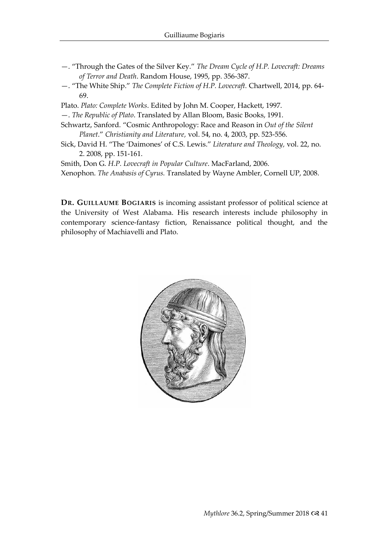- —. "Through the Gates of the Silver Key." *The Dream Cycle of H.P. Lovecraft: Dreams of Terror and Death*. Random House, 1995, pp. 356-387.
- —. "The White Ship." *The Complete Fiction of H.P. Lovecraft.* Chartwell, 2014, pp. 64- 69.
- Plato. *Plato: Complete Works*. Edited by John M. Cooper, Hackett, 1997.
- —. *The Republic of Plato*. Translated by Allan Bloom, Basic Books, 1991.
- Schwartz, Sanford. "Cosmic Anthropology: Race and Reason in *Out of the Silent Planet*." *Christianity and Literature,* vol. 54, no. 4, 2003, pp. 523-556.
- Sick, David H. "The 'Daimones' of C.S. Lewis." *Literature and Theology,* vol. 22, no. 2. 2008, pp. 151-161.
- Smith, Don G. *H.P. Lovecraft in Popular Culture*. MacFarland, 2006. Xenophon. *The Anabasis of Cyrus.* Translated by Wayne Ambler, Cornell UP, 2008.

**DR. GUILLAUME BOGIARIS** is incoming assistant professor of political science at the University of West Alabama. His research interests include philosophy in contemporary science-fantasy fiction, Renaissance political thought, and the philosophy of Machiavelli and Plato.